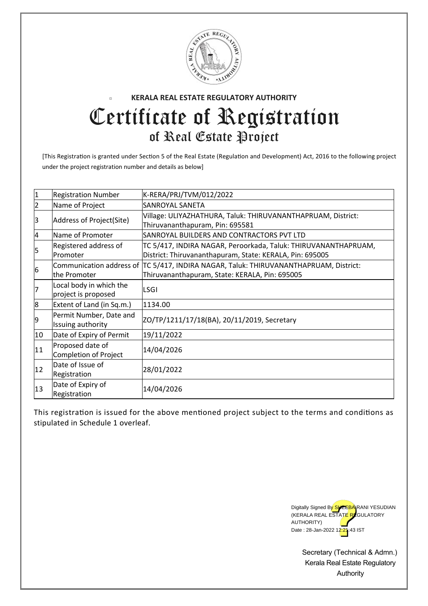

## **KERALA REAL ESTATE REGULATORY AUTHORITY**  $\overline{\phantom{a}}$ Certificate of Registration of Real Estate Project

[This Registration is granted under Section 5 of the Real Estate (Regulation and Development) Act, 2016 to the following project under the project registration number and details as below]

| $\mathbf{1}$   | <b>Registration Number</b>                     | K-RERA/PRJ/TVM/012/2022                                                                                                                 |
|----------------|------------------------------------------------|-----------------------------------------------------------------------------------------------------------------------------------------|
| $\overline{2}$ | Name of Project                                | <b>SANROYAL SANETA</b>                                                                                                                  |
| 3              | Address of Project(Site)                       | Village: ULIYAZHATHURA, Taluk: THIRUVANANTHAPRUAM, District:<br>Thiruvananthapuram, Pin: 695581                                         |
| $\overline{a}$ | Name of Promoter                               | SANROYAL BUILDERS AND CONTRACTORS PVT LTD                                                                                               |
| 5              | Registered address of<br>Promoter              | TC 5/417, INDIRA NAGAR, Peroorkada, Taluk: THIRUVANANTHAPRUAM,<br>District: Thiruvananthapuram, State: KERALA, Pin: 695005              |
| 6              | the Promoter                                   | Communication address of TC 5/417, INDIRA NAGAR, Taluk: THIRUVANANTHAPRUAM, District:<br>Thiruvananthapuram, State: KERALA, Pin: 695005 |
| 7              | Local body in which the<br>project is proposed | <b>LSGI</b>                                                                                                                             |
| 8              | Extent of Land (in Sq.m.)                      | 1134.00                                                                                                                                 |
| 9              | Permit Number, Date and<br>Issuing authority   | ZO/TP/1211/17/18(BA), 20/11/2019, Secretary                                                                                             |
| 10             | Date of Expiry of Permit                       | 19/11/2022                                                                                                                              |
| 11             | Proposed date of<br>Completion of Project      | 14/04/2026                                                                                                                              |
| 12             | Date of Issue of<br>Registration               | 28/01/2022                                                                                                                              |
| 13             | Date of Expiry of<br>Registration              | 14/04/2026                                                                                                                              |

This registration is issued for the above mentioned project subject to the terms and conditions as stipulated in Schedule 1 overleaf.



Secretary (Technical & Admn.) Kerala Real Estate Regulatory Authority